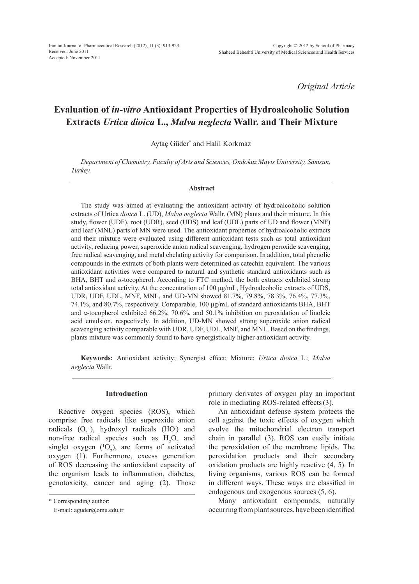*Original Article*

# **Evaluation of** *in-vitro* **Antioxidant Properties of Hydroalcoholic Solution Extracts** *Urtica dioica* **L.,** *Malva neglecta* **Wallr. and Their Mixture**

Aytaç Güder\* and Halil Korkmaz

*Department of Chemistry, Faculty of Arts and Sciences, Ondokuz Mayis University, Samsun, Turkey.*

#### **Abstract**

The study was aimed at evaluating the antioxidant activity of hydroalcoholic solution extracts of Urtica *dioica* L. (UD), *Malva neglecta* Wallr. (MN) plants and their mixture. In this study, flower (UDF), root (UDR), seed (UDS) and leaf (UDL) parts of UD and flower (MNF) and leaf (MNL) parts of MN were used. The antioxidant properties of hydroalcoholic extracts and their mixture were evaluated using different antioxidant tests such as total antioxidant activity, reducing power, superoxide anion radical scavenging, hydrogen peroxide scavenging, free radical scavenging, and metal chelating activity for comparison. In addition, total phenolic compounds in the extracts of both plants were determined as catechin equivalent. The various antioxidant activities were compared to natural and synthetic standard antioxidants such as BHA, BHT and *α*-tocopherol. According to FTC method, the both extracts exhibited strong total antioxidant activity. At the concentration of 100 μg/mL, Hydroalcoholic extracts of UDS, UDR, UDF, UDL, MNF, MNL, and UD-MN showed 81.7%, 79.8%, 78.3%, 76.4%, 77.3%, 74.1%, and 80.7%, respectively. Comparable, 100 μg/mL of standard antioxidants BHA, BHT and *α*-tocopherol exhibited 66.2%, 70.6%, and 50.1% inhibition on peroxidation of linoleic acid emulsion, respectively. In addition, UD-MN showed strong superoxide anion radical scavenging activity comparable with UDR, UDF, UDL, MNF, and MNL. Based on the findings, plants mixture was commonly found to have synergistically higher antioxidant activity.

**Keywords:** Antioxidant activity; Synergist effect; Mixture; *Urtica dioica* L.; *Malva neglecta* Wallr.

## **Introduction**

Reactive oxygen species (ROS), which comprise free radicals like superoxide anion radicals  $(O_2)$ , hydroxyl radicals  $(HO)$  and non-free radical species such as  $H_2O_2$  and singlet oxygen  $(^{1}O_{2})$ , are forms of activated oxygen (1). Furthermore, excess generation of ROS decreasing the antioxidant capacity of the organism leads to inflammation, diabetes, genotoxicity, cancer and aging (2). Those

primary derivates of oxygen play an important role in mediating ROS-related effects(3).

An antioxidant defense system protects the cell against the toxic effects of oxygen which evolve the mitochondrial electron transport chain in parallel (3). ROS can easily initiate the peroxidation of the membrane lipids. The peroxidation products and their secondary oxidation products are highly reactive (4, 5). In living organisms, various ROS can be formed in different ways. These ways are classified in endogenous and exogenous sources (5, 6).

Many antioxidant compounds, naturally occurring from plant sources, have been identified

<sup>\*</sup> Corresponding author:

E-mail: aguder@omu.edu.tr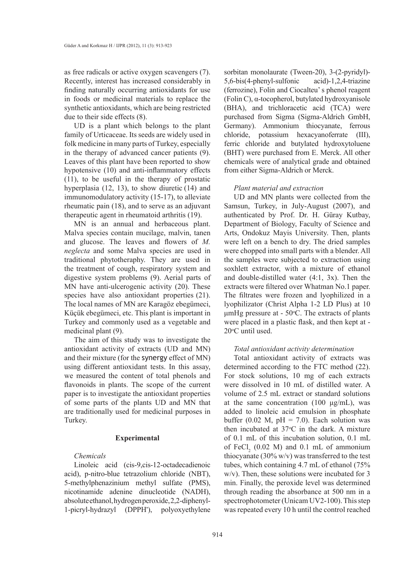as free radicals or active oxygen scavengers (7). Recently, interest has increased considerably in finding naturally occurring antioxidants for use in foods or medicinal materials to replace the synthetic antioxidants, which are being restricted due to their side effects (8).

UD is a plant which belongs to the plant family of Urticaceae. Its seeds are widely used in folk medicine in many parts of Turkey, especially in the therapy of advanced cancer patients (9). Leaves of this plant have been reported to show hypotensive (10) and anti-inflammatory effects (11), to be useful in the therapy of prostatic hyperplasia (12, 13), to show diuretic (14) and immunomodulatory activity (15-17), to alleviate rheumatic pain (18), and to serve as an adjuvant therapeutic agent in rheumatoid arthritis (19).

MN is an annual and herbaceous plant. Malva species contain mucilage, malvin, tanen and glucose. The leaves and flowers of *M. neglecta* and some Malva species are used in traditional phytotheraphy. They are used in the treatment of cough, respiratory system and digestive system problems (9). Aerial parts of MN have anti-ulcerogenic activity (20). These species have also antioxidant properties  $(21)$ . The local names of MN are Karagöz ebegümeci, Küçük ebegümeci, etc. This plant is important in Turkey and commonly used as a vegetable and medicinal plant (9).

The aim of this study was to investigate the antioxidant activity of extracts (UD and MN) and their mixture (for the synergy effect of MN) using different antioxidant tests. In this assay, we measured the content of total phenols and flavonoids in plants. The scope of the current paper is to investigate the antioxidant properties of some parts of the plants UD and MN that are traditionally used for medicinal purposes in Turkey.

## **Experimental**

# *Chemicals*

Linoleic acid (cis-9,cis-12-octadecadienoic acid), p-nitro-blue tetrazolium chloride (NBT), 5-methylphenazinium methyl sulfate (PMS), nicotinamide adenine dinucleotide (NADH), absolute ethanol, hydrogen peroxide, 2,2-diphenyl-1-picryl-hydrazyl (DPPH• ), polyoxyethylene sorbitan monolaurate (Tween-20), 3-(2-pyridyl)- 5,6-bis(4-phenyl-sulfonic acid)-1,2,4-triazine (ferrozine), Folin and Ciocalteu' s phenol reagent (Folin C), α-tocopherol, butylated hydroxyanisole (BHA), and trichloracetic acid (TCA) were purchased from Sigma (Sigma-Aldrich GmbH, Germany). Ammonium thiocyanate, ferrous chloride, potassium hexacyanoferrate (III), ferric chloride and butylated hydroxytoluene (BHT) were purchased from E. Merck. All other chemicals were of analytical grade and obtained from either Sigma-Aldrich or Merck.

#### *Plant material and extraction*

UD and MN plants were collected from the Samsun, Turkey, in July-August (2007), and authenticated by Prof. Dr. H. Güray Kutbay, Department of Biology, Faculty of Science and Arts, Ondokuz Mayis University. Then, plants were left on a bench to dry. The dried samples were chopped into small parts with a blender. All the samples were subjected to extraction using soxhlett extractor, with a mixture of ethanol and double-distilled water (4:1, 3x). Then the extracts were filtered over Whatman No.1 paper. The filtrates were frozen and lyophilized in a lyophilizator (Christ Alpha 1-2 LD Plus) at 10  $\mu$ mHg pressure at - 50°C. The extracts of plants were placed in a plastic flask, and then kept at - 20<sup>o</sup> C until used.

## *Total antioxidant activity determination*

Total antioxidant activity of extracts was determined according to the FTC method (22). For stock solutions, 10 mg of each extracts were dissolved in 10 mL of distilled water. A volume of 2.5 mL extract or standard solutions at the same concentration  $(100 \mu g/mL)$ , was added to linoleic acid emulsion in phosphate buffer (0.02 M,  $pH = 7.0$ ). Each solution was then incubated at  $37^{\circ}$ C in the dark. A mixture of 0.1 mL of this incubation solution, 0.1 mL of  $FeCl<sub>2</sub>$  (0.02 M) and 0.1 mL of ammonium thiocyanate (30% w/v) was transferred to the test tubes, which containing 4.7 mL of ethanol (75% w/v). Then, these solutions were incubated for 3 min. Finally, the peroxide level was determined through reading the absorbance at 500 nm in a spectrophotometer (Unicam UV2-100). This step was repeated every 10 h until the control reached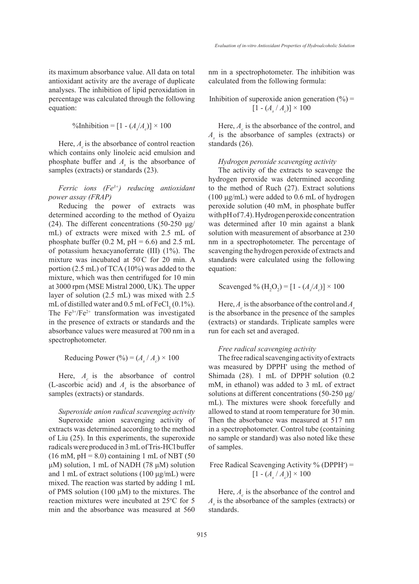its maximum absorbance value. All data on total antioxidant activity are the average of duplicate analyses. The inhibition of lipid peroxidation in percentage was calculated through the following equation:

$$
\text{\%Inhibition} = [1 - (A_s/A_c)] \times 100
$$

Here,  $A_{\rho}$  is the absorbance of control reaction which contains only linoleic acid emulsion and phosphate buffer and  $A<sub>s</sub>$  is the absorbance of samples (extracts) or standards (23).

# *Ferric ions (Fe3+) reducing antioxidant power assay (FRAP)*

Reducing the power of extracts was determined according to the method of Oyaizu (24). The different concentrations (50-250  $\mu$ g/ mL) of extracts were mixed with 2.5 mL of phosphate buffer (0.2 M,  $pH = 6.6$ ) and 2.5 mL of potassium hexacyanoferrate (III) (1%). The mixture was incubated at 50◦ C for 20 min. A portion (2.5 mL) of TCA (10%) was added to the mixture, which was then centrifuged for 10 min at 3000 rpm (MSE Mistral 2000, UK). The upper layer of solution (2.5 mL) was mixed with 2.5 mL of distilled water and  $0.5$  mL of FeCl<sub>3</sub> (0.1%). The  $Fe^{3+}/Fe^{2+}$  transformation was investigated in the presence of extracts or standards and the absorbance values were measured at 700 nm in a spectrophotometer.

Reducing Power (%) =  $(A_s / A_c) \times 100$ 

Here,  $A_c$  is the absorbance of control (L-ascorbic acid) and  $A<sub>s</sub>$  is the absorbance of samples (extracts) or standards.

*Superoxide anion radical scavenging activity* Superoxide anion scavenging activity of extracts was determined according to the method of Liu (25). In this experiments, the superoxide radicals were produced in 3 mL of Tris-HCl buffer  $(16 \text{ mM}, \text{pH} = 8.0)$  containing 1 mL of NBT  $(50 \text{ m})$ μM) solution, 1 mL of NADH (78 μM) solution and 1 mL of extract solutions (100 μg/mL) were mixed. The reaction was started by adding 1 mL of PMS solution (100 μM) to the mixtures. The reaction mixtures were incubated at 25<sup>o</sup>C for 5 min and the absorbance was measured at 560

nm in a spectrophotometer. The inhibition was calculated from the following formula:

Inhibition of superoxide anion generation (%) = 
$$
[1 - (A_s / A_c)] \times 100
$$

Here,  $A_c$  is the absorbance of the control, and *As* is the absorbance of samples (extracts) or standards (26).

#### *Hydrogen peroxide scavenging activity*

The activity of the extracts to scavenge the hydrogen peroxide was determined according to the method of Ruch (27). Extract solutions (100 μg/mL) were added to 0.6 mL of hydrogen peroxide solution (40 mM, in phosphate buffer with pH of 7.4). Hydrogen peroxide concentration was determined after 10 min against a blank solution with measurement of absorbance at 230 nm in a spectrophotometer. The percentage of scavenging the hydrogen peroxide of extracts and standards were calculated using the following equation:

Scavenged % ( $H_2O_2$ ) = [1 - ( $A_s/A_c$ )] × 100

Here,  $A_c$  is the absorbance of the control and  $A_s$ is the absorbance in the presence of the samples (extracts) or standards. Triplicate samples were run for each set and averaged.

### *Free radical scavenging activity*

The free radical scavenging activity of extracts was measured by DPPH<sup>·</sup> using the method of Shimada  $(28)$ . 1 mL of DPPH solution  $(0.2)$ mM, in ethanol) was added to 3 mL of extract solutions at different concentrations (50-250 μg/ mL). The mixtures were shook forcefully and allowed to stand at room temperature for 30 min. Then the absorbance was measured at 517 nm in a spectrophotometer. Control tube (containing no sample or standard) was also noted like these of samples.

Free Radical Scavenging Activity % (DPPH $\cdot$ ) =  $[1 - (A_s / A_c)] \times 100$ 

Here,  $A_c$  is the absorbance of the control and *As* is the absorbance of the samples (extracts) or standards.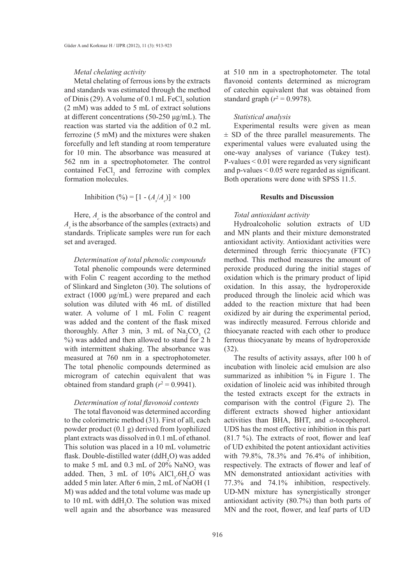#### *Metal chelating activity*

Metal chelating of ferrous ions by the extracts and standards was estimated through the method of Dinis (29). A volume of  $0.1 \text{ mL FeCl}_2$  solution (2 mM) was added to 5 mL of extract solutions at different concentrations (50-250 μg/mL). The reaction was started via the addition of 0.2 mL ferrozine (5 mM) and the mixtures were shaken forcefully and left standing at room temperature for 10 min. The absorbance was measured at 562 nm in a spectrophotometer. The control contained  $\text{FeCl}_2$  and ferrozine with complex formation molecules.

$$
Inhibition (%) = [1 - (A_s/A_c)] \times 100
$$

Here,  $A_c$  is the absorbance of the control and  $A<sub>s</sub>$  is the absorbance of the samples (extracts) and standards. Triplicate samples were run for each set and averaged.

## *Determination of total phenolic compounds*

Total phenolic compounds were determined with Folin C reagent according to the method of Slinkard and Singleton (30). The solutions of extract (1000 μg/mL) were prepared and each solution was diluted with 46 mL of distilled water. A volume of 1 mL Folin C reagent was added and the content of the flask mixed thoroughly. After 3 min, 3 mL of  $\text{Na}_2\text{CO}_3$  (2) %) was added and then allowed to stand for 2 h with intermittent shaking. The absorbance was measured at 760 nm in a spectrophotometer. The total phenolic compounds determined as microgram of catechin equivalent that was obtained from standard graph  $(r^2 = 0.9941)$ .

## *Determination of total flavonoid contents*

The total flavonoid was determined according to the colorimetric method (31). First of all, each powder product (0.1 g) derived from lyophilized plant extracts was dissolved in 0.1 mL of ethanol. This solution was placed in a 10 mL volumetric flask. Double-distilled water  $(ddH_2O)$  was added to make 5 mL and 0.3 mL of  $20\%$  NaNO<sub>2</sub> was added. Then,  $3 \text{ mL of } 10\% \text{ AlCl}_3.6\text{H}_2\text{O}$  was added 5 min later. After 6 min, 2 mL of NaOH (1 M) was added and the total volume was made up to 10 mL with  $ddH_2O$ . The solution was mixed well again and the absorbance was measured

at 510 nm in a spectrophotometer. The total flavonoid contents determined as microgram of catechin equivalent that was obtained from standard graph ( $r^2 = 0.9978$ ).

### *Statistical analysis*

Experimental results were given as mean  $\pm$  SD of the three parallel measurements. The experimental values were evaluated using the one-way analyses of variance (Tukey test). P-values < 0.01 were regarded as very significant and p-values < 0.05 were regarded as significant. Both operations were done with SPSS 11.5.

## **Results and Discussion**

#### *Total antioxidant activity*

Hydroalcoholic solution extracts of UD and MN plants and their mixture demonstrated antioxidant activity. Antioxidant activities were determined through ferric thiocyanate (FTC) method. This method measures the amount of peroxide produced during the initial stages of oxidation which is the primary product of lipid oxidation. In this assay, the hydroperoxide produced through the linoleic acid which was added to the reaction mixture that had been oxidized by air during the experimental period, was indirectly measured. Ferrous chloride and thiocyanate reacted with each other to produce ferrous thiocyanate by means of hydroperoxide (32).

The results of activity assays, after 100 h of incubation with linoleic acid emulsion are also summarized as inhibition % in Figure 1. The oxidation of linoleic acid was inhibited through the tested extracts except for the extracts in comparison with the control (Figure 2). The different extracts showed higher antioxidant activities than BHA, BHT, and *α*-tocopherol. UDS has the most effective inhibition in this part (81.7 %). The extracts of root, flower and leaf of UD exhibited the potent antioxidant activities with 79.8%, 78.3% and 76.4% of inhibition, respectively. The extracts of flower and leaf of MN demonstrated antioxidant activities with 77.3% and 74.1% inhibition, respectively. UD-MN mixture has synergistically stronger antioxidant activity (80.7%) than both parts of MN and the root, flower, and leaf parts of UD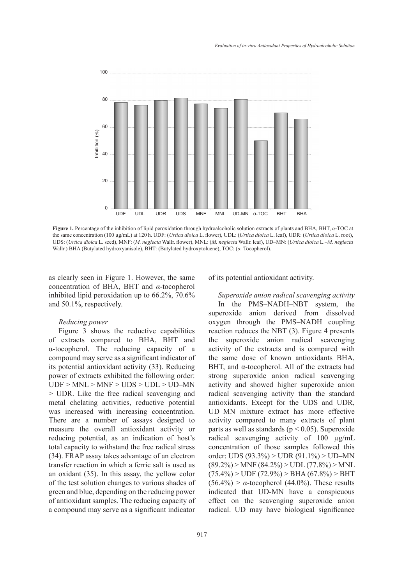

**Figure 1.** Percentage of the inhibition of lipid peroxidation through hydroalcoholic solution extracts of plants and BHA, BHT, *α*-TOC at the same concentration (100 µg/mL) at 120 h. UDF: (*Urtica dioica* L. flower), UDL: (*Urtica dioica* L. leaf), UDR: (*Urtica dioica* L. root), UDS: (*Urtica dioica* L. seed), MNF: (*M. neglecta* Wallr. flower), MNL: (*M. neglecta* Wallr. leaf), UD–MN: (*Urtica dioica* L.–*M. neglecta* Wallr.) BHA (Butylated hydroxyanisole), BHT: (Butylated hydroxytoluene), TOC: (*α*–Tocopherol).

as clearly seen in Figure 1. However, the same concentration of BHA, BHT and *α*-tocopherol inhibited lipid peroxidation up to 66.2%, 70.6% and 50.1%, respectively.

### *Reducing power*

Figure 3 shows the reductive capabilities of extracts compared to BHA, BHT and α-tocopherol. The reducing capacity of a compound may serve as a significant indicator of its potential antioxidant activity (33). Reducing power of extracts exhibited the following order: UDF > MNL > MNF > UDS > UDL > UD–MN > UDR. Like the free radical scavenging and metal chelating activities, reductive potential was increased with increasing concentration. There are a number of assays designed to measure the overall antioxidant activity or reducing potential, as an indication of host's total capacity to withstand the free radical stress (34). FRAP assay takes advantage of an electron transfer reaction in which a ferric salt is used as an oxidant (35). In this assay, the yellow color of the test solution changes to various shades of green and blue, depending on the reducing power of antioxidant samples. The reducing capacity of a compound may serve as a significant indicator of its potential antioxidant activity.

*Superoxide anion radical scavenging activity* In the PMS–NADH–NBT system, the superoxide anion derived from dissolved oxygen through the PMS–NADH coupling reaction reduces the NBT (3). Figure 4 presents the superoxide anion radical scavenging activity of the extracts and is compared with the same dose of known antioxidants BHA, BHT, and α-tocopherol. All of the extracts had strong superoxide anion radical scavenging activity and showed higher superoxide anion radical scavenging activity than the standard antioxidants. Except for the UDS and UDR, UD–MN mixture extract has more effective activity compared to many extracts of plant parts as well as standards ( $p < 0.05$ ). Superoxide radical scavenging activity of 100 µg/mL concentration of those samples followed this order: UDS (93.3%) > UDR (91.1%) > UD–MN  $(89.2\%) >$  MNF  $(84.2\%) >$  UDL  $(77.8\%) >$  MNL  $(75.4\%)$  > UDF  $(72.9\%)$  > BHA  $(67.8\%)$  > BHT  $(56.4\%)$  >  $\alpha$ -tocopherol (44.0%). These results indicated that UD-MN have a conspicuous effect on the scavenging superoxide anion radical. UD may have biological significance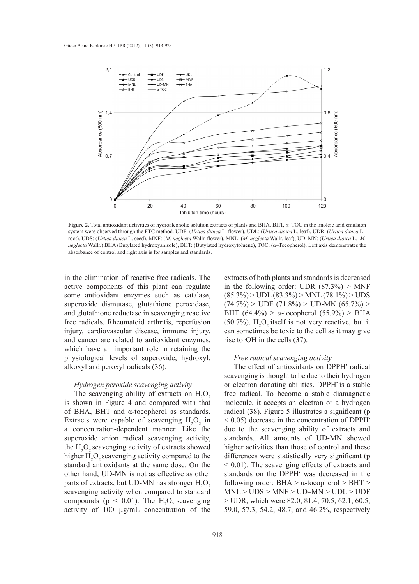

**Figure 2.** Total antioxidant activities of hydroalcoholic solution extracts of plants and BHA, BHT, *α*–TOC in the linoleic acid emulsion system were observed through the FTC method. UDF: (*Urtica dioica* L. flower), UDL: (*Urtica dioica* L. leaf), UDR: (*Urtica dioica* L. root), UDS: (*Urtica dioica* L. seed), MNF: (*M. neglecta* Wallr. flower), MNL: (*M. neglecta* Wallr. leaf), UD–MN: (*Urtica dioica* L.–*M. neglecta* Wallr.) BHA (Butylated hydroxyanisole), BHT: (Butylated hydroxytoluene), TOC: (*α*–Tocopherol). Left axis demonstrates the absorbance of control and right axis is for samples and standards.

in the elimination of reactive free radicals. The active components of this plant can regulate some antioxidant enzymes such as catalase, superoxide dismutase, glutathione peroxidase, and glutathione reductase in scavenging reactive free radicals. Rheumatoid arthritis, reperfusion injury, cardiovascular disease, immune injury, and cancer are related to antioxidant enzymes, which have an important role in retaining the physiological levels of superoxide, hydroxyl, alkoxyl and peroxyl radicals (36).

#### *Hydrogen peroxide scavenging activity*

The scavenging ability of extracts on  $H_2O_2$ is shown in Figure 4 and compared with that of BHA, BHT and α-tocopherol as standards. Extracts were capable of scavenging  $H_2O_2$  in a concentration-dependent manner. Like the superoxide anion radical scavenging activity, the  $H_2O_2$  scavenging activity of extracts showed higher  $H_2O_2$  scavenging activity compared to the standard antioxidants at the same dose. On the other hand, UD-MN is not as effective as other parts of extracts, but UD-MN has stronger  $H_2O_2$ scavenging activity when compared to standard compounds ( $p < 0.01$ ). The  $H_2O_2$  scavenging activity of 100 µg/mL concentration of the

extracts of both plants and standards is decreased in the following order: UDR  $(87.3\%) > \text{MNF}$  $(85.3\%)$  > UDL  $(83.3\%)$  > MNL  $(78.1\%)$  > UDS  $(74.7\%)$  > UDF  $(71.8\%)$  > UD-MN  $(65.7\%)$  > BHT (64.4%) > *α*-tocopherol (55.9%) > BHA  $(50.7\%)$ . H<sub>2</sub>O<sub>2</sub> itself is not very reactive, but it can sometimes be toxic to the cell as it may give rise to  $OH$  in the cells  $(37)$ .

#### *Free radical scavenging activity*

The effect of antioxidants on DPPH<sup>•</sup> radical scavenging is thought to be due to their hydrogen or electron donating abilities. DPPH• is a stable free radical. To become a stable diamagnetic molecule, it accepts an electron or a hydrogen radical (38). Figure 5 illustrates a significant (p  $<$  0.05) decrease in the concentration of DPPH $\cdot$ due to the scavenging ability of extracts and standards. All amounts of UD-MN showed higher activities than those of control and these differences were statistically very significant (p < 0.01). The scavenging effects of extracts and standards on the DPPH<sup>•</sup> was decreased in the following order: BHA > α-tocopherol > BHT > MNL > UDS > MNF > UD–MN > UDL > UDF > UDR, which were 82.0, 81.4, 70.5, 62.1, 60.5, 59.0, 57.3, 54.2, 48.7, and 46.2%, respectively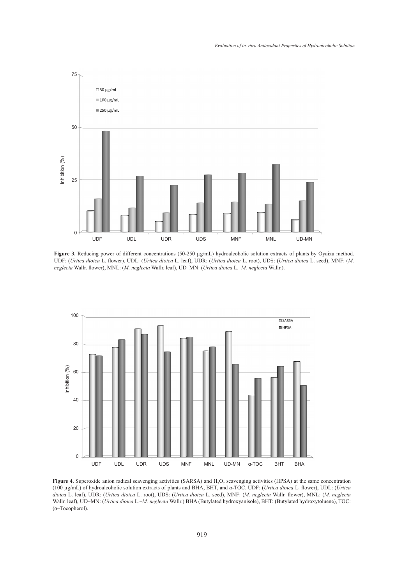

**Figure 3.** Reducing power of different concentrations (50-250 µg/mL) hydroalcoholic solution extracts of plants by Oyaizu method. UDF: (*Urtica dioica* L. flower), UDL: (*Urtica dioica* L. leaf), UDR: (*Urtica dioica* L. root), UDS: (*Urtica dioica* L. seed), MNF: (*M. neglecta* Wallr. flower), MNL: (*M. neglecta* Wallr. leaf), UD–MN: (*Urtica dioica* L.–*M. neglecta* Wallr.).



**Figure 4.** Superoxide anion radical scavenging activities (SARSA) and  $H_2O_2$  scavenging activities (HPSA) at the same concentration (100 µg/mL) of hydroalcoholic solution extracts of plants and BHA, BHT, and *α*-TOC. UDF: (*Urtica dioica* L. flower), UDL: (*Urtica dioica* L. leaf), UDR: (*Urtica dioica* L. root), UDS: (*Urtica dioica* L. seed), MNF: (*M. neglecta* Wallr. flower), MNL: (*M. neglecta* Wallr. leaf), UD–MN: (*Urtica dioica* L.–*M. neglecta* Wallr.) BHA (Butylated hydroxyanisole), BHT: (Butylated hydroxytoluene), TOC: (α–Tocopherol).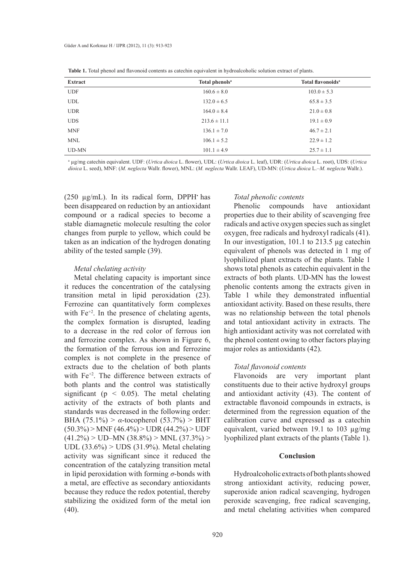| <b>Extract</b> | Total phenols <sup>a</sup> | <b>Total flavonoids<sup>a</sup></b> |
|----------------|----------------------------|-------------------------------------|
| <b>UDF</b>     | $160.6 \pm 8.0$            | $103.0 \pm 5.3$                     |
| <b>UDL</b>     | $132.0 \pm 6.5$            | $65.8 \pm 3.5$                      |
| <b>UDR</b>     | $164.0 \pm 8.4$            | $21.0 \pm 0.8$                      |
| <b>UDS</b>     | $213.6 \pm 11.1$           | $19.1 \pm 0.9$                      |
| <b>MNF</b>     | $136.1 \pm 7.0$            | $46.7 \pm 2.1$                      |
| <b>MNL</b>     | $106.1 \pm 5.2$            | $22.9 \pm 1.2$                      |
| $UD-MN$        | $101.1 \pm 4.9$            | $25.7 \pm 1.1$                      |

a µg/mg catechin equivalent. UDF: (*Urtica dioica* L. flower), UDL: (*Urtica dioica* L. leaf), UDR: (*Urtica dioica* L. root), UDS: (*Urtica dioica* L. seed), MNF: (*M. neglecta* Wallr. flower), MNL: (*M. neglecta* Wallr. LEAF), UD-MN: (*Urtica dioica* L.–*M. neglecta* Wallr.).

( $250 \mu g/mL$ ). In its radical form, DPPH has been disappeared on reduction by an antioxidant compound or a radical species to become a stable diamagnetic molecule resulting the color changes from purple to yellow, which could be taken as an indication of the hydrogen donating ability of the tested sample (39).

#### *Metal chelating activity*

Metal chelating capacity is important since it reduces the concentration of the catalysing transition metal in lipid peroxidation (23). Ferrozine can quantitatively form complexes with  $Fe^{+2}$ . In the presence of chelating agents, the complex formation is disrupted, leading to a decrease in the red color of ferrous ion and ferrozine complex. As shown in Figure 6, the formation of the ferrous ion and ferrozine complex is not complete in the presence of extracts due to the chelation of both plants with Fe<sup>+2</sup>. The difference between extracts of both plants and the control was statistically significant ( $p < 0.05$ ). The metal chelating activity of the extracts of both plants and standards was decreased in the following order: BHA (75.1%) > *α*-tocopherol (53.7%) > BHT  $(50.3\%)$  > MNF  $(46.4\%)$  > UDR  $(44.2\%)$  > UDF  $(41.2\%)$  > UD–MN  $(38.8\%)$  > MNL  $(37.3\%)$  > UDL (33.6%) > UDS (31.9%). Metal chelating activity was significant since it reduced the concentration of the catalyzing transition metal in lipid peroxidation with forming *σ*-bonds with a metal, are effective as secondary antioxidants because they reduce the redox potential, thereby stabilizing the oxidized form of the metal ion (40).

# *Total phenolic contents*

Phenolic compounds have antioxidant properties due to their ability of scavenging free radicals and active oxygen species such as singlet oxygen, free radicals and hydroxyl radicals (41). In our investigation, 101.1 to 213.5 µg catechin equivalent of phenols was detected in 1 mg of lyophilized plant extracts of the plants. Table 1 shows total phenols as catechin equivalent in the extracts of both plants. UD-MN has the lowest phenolic contents among the extracts given in Table 1 while they demonstrated influential antioxidant activity. Based on these results, there was no relationship between the total phenols and total antioxidant activity in extracts. The high antioxidant activity was not correlated with the phenol content owing to other factors playing major roles as antioxidants (42).

## *Total flavonoid contents*

Flavonoids are very important plant constituents due to their active hydroxyl groups and antioxidant activity (43). The content of extractable flavonoid compounds in extracts, is determined from the regression equation of the calibration curve and expressed as a catechin equivalent, varied between 19.1 to 103 µg/mg lyophilized plant extracts of the plants (Table 1).

# **Conclusion**

Hydroalcoholic extracts of both plants showed strong antioxidant activity, reducing power, superoxide anion radical scavenging, hydrogen peroxide scavenging, free radical scavenging, and metal chelating activities when compared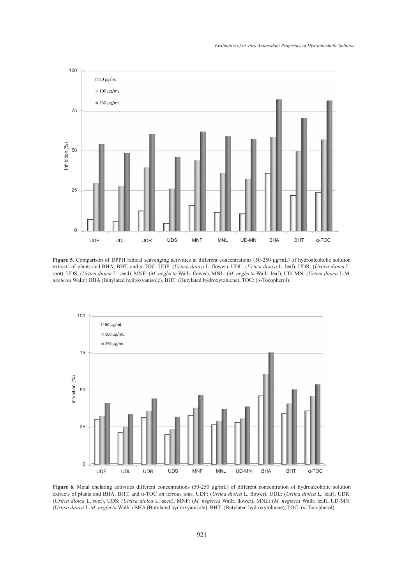

**Figure 5.** Comparison of DPPH radical scavenging activities at different concentrations (50-250 µg/mL) of hydroalcoholic solution extracts of plants and BHA, BHT, and *α*-TOC. UDF: (*Urtica dioica* L. flower), UDL: (*Urtica dioica* L. leaf), UDR: (*Urtica dioica* L. root), UDS: (*Urtica dioica* L. seed), MNF: (*M. neglecta* Wallr. flower), MNL: (*M. neglecta* Wallr. leaf), UD–MN: (*Urtica dioica* L-M*. neglecta* Wallr.) BHA (Butylated hydroxyanisole), BHT: (Butylated hydroxytoluene), TOC: (*α*-Tocopherol).



**Figure 6.** Metal chelating activities different concentrations (50-250 µg/mL) of different concentration of hydroalcoholic solution extracts of plants and BHA, BHT, and α-TOC on ferrous ions. UDF: (*Urtica dioica* L. flower), UDL: (*Urtica dioica* L. leaf), UDR: (*Urtica dioica* L. root), UDS: (*Urtica dioica* L. seed), MNF: (*M. neglecta* Wallr. flower), MNL: (*M. neglecta* Wallr. leaf), UD-MN: (*Urtica dioica* L-*M. neglecta* Wallr.) BHA (Butylated hydroxyanisole), BHT: (Butylated hydroxytoluene), TOC: (*α-*Tocopherol).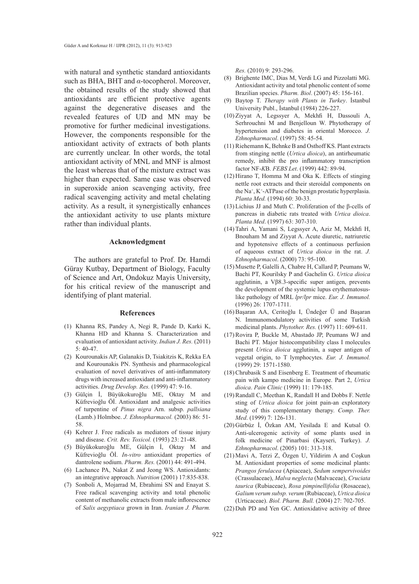with natural and synthetic standard antioxidants such as BHA, BHT and *α*-tocopherol. Moreover, the obtained results of the study showed that antioxidants are efficient protective agents against the degenerative diseases and the revealed features of UD and MN may be promotive for further medicinal investigations. However, the components responsible for the antioxidant activity of extracts of both plants are currently unclear. In other words, the total antioxidant activity of MNL and MNF is almost the least whereas that of the mixture extract was higher than expected. Same case was observed in superoxide anion scavenging activity, free radical scavenging activity and metal chelating activity. As a result, it synergistically enhances the antioxidant activity to use plants mixture rather than individual plants.

### **Acknowledgment**

The authors are grateful to Prof. Dr. Hamdi Güray Kutbay, Department of Biology, Faculty of Science and Art, Ondokuz Mayis University, for his critical review of the manuscript and identifying of plant material.

#### **References**

- (1) Khanna RS, Pandey A, Negi R, Pande D, Karki K, Khanna HD and Khanna S. Characterization and evaluation of antioxidant activity. *Indian J. Res.* (2011) 5: 40-47.
- (2) Kourounakis AP, Galanakis D, Tsiakitzis K, Rekka EA and Kourounakis PN. Synthesis and pharmacological evaluation of novel derivatives of anti-inflammatory drugs with increased antioxidant and anti-inflammatory activities. *Drug Develop. Res.* (1999) 47: 9-16.
- Gülçin İ, Büyükokuroğlu ME, Oktay M and (3) Küfrevioğlu Öİ. Antioxidant and analgesic activities of turpentine of *Pinus nigra* Arn. subsp. *pallsiana* (Lamb.) Holmboe. *J. Ethnopharmacol.* (2003) 86: 51- 58.
- (4) Kehrer J. Free radicals as mediators of tissue injury and disease. *Crit. Rev. Toxicol.* (1993) 23: 21-48.
- Büyükokuroğlu ME, Gülçin İ, Oktay M and (5) Küfrevioğlu Öİ. *In-vitro* antioxidant properties of dantrolene sodium. *Pharm. Res.* (2001) 44: 491-494.
- Lachance PA, Nakat Z and Jeong WS. Antioxidants: (6) an integrative approach. *Nutrition* (2001) 17:835-838.
- (7) Sonboli A, Mojarrad M, Ebrahimi SN and Enayat S. Free radical scavenging activity and total phenolic content of methanolic extracts from male inflorescence of *Salix aegyptiaca* grown in Iran. *Iranian J. Pharm.*

*Res.* (2010) 9: 293-296.

- Brighente IMC, Dias M, Verdi LG and Pizzolatti MG. Antioxidant activity and total phenolic content of some Brazilian species. *Pharm. Biol*. (2007) 45: 156-161. (8)
- Baytop T. *Therapy with Plants in Turkey*. İstanbul (9) University Publ., İstanbul (1984) 226-227.
- $(10)$  Ziyyat A, Legssyer A, Mekhfi H, Dassouli A, Serhrouchni M and Benjelloun W. Phytotherapy of hypertension and diabetes in oriental Morocco. *J. Ethnopharmacol*. (1997) 58: 45-54.
- $(11)$  Riehemann K, Behnke B and Osthoff KS. Plant extracts from stinging nettle (*Urtica dioica*), an antirheumatic remedy, inhibit the pro inflammatory transcription factor NF-*K*B. *FEBS Let*. (1999) 442: 89-94.
- $(12)$  Hirano T, Homma M and Oka K. Effects of stinging nettle root extracts and their steroidal components on the Na<sup>+</sup> , K<sup>+</sup> -ATPase of the benign prostatic hyperplasia. *Planta Med.* (1994) 60: 30-33.
- $(13)$  Lichius JJ and Muth C. Proliferation of the β-cells of pancreas in diabetic rats treated with *Urtica dioica*. *Planta Med*. (1997) 63: 307-310.
- (14) Tahri A, Yamani S, Legssyer A, Aziz M, Mekhfi H, Bnouham M and Ziyyat A. Acute diuretic, natriuretic and hypotensive effects of a continuous perfusion of aqueous extract of *Urtica dioica* in the rat. *J. Ethnopharmacol*. (2000) 73: 95-100.
- Musette P, Galelli A, Chabre H, Callard P, Peumans W, (15) Bachi PT, Kourilsky P and Gachelin G. *Urtica dioica* agglutinin, a Vβ8.3-specific super antigen, prevents the development of the systemic lupus erythematosuslike pathology of MRL *lpr/lpr* mice. *Eur. J. Immunol.* (1996) 26: 1707-1711.
- Başaran AA, Ceritoğlu I, Ündeğer Ü and Başaran (16) N. Immunomodulatory activities of some Turkish medicinal plants. *Phytother. Res.* (1997) 11: 609-611.
- $(17)$  Rovira P, Buckle M, Abastado JP, Peumans WJ and Bachi PT. Major histocompatibility class I molecules present *Urtica dioica* agglutinin, a super antigen of vegetal origin, to T lymphocytes. *Eur. J. Immunol.* (1999) 29: 1571-1580.
- (18) Chrubasik S and Eisenberg E. Treatment of rheumatic pain with kampo medicine in Europe. Part 2, *Urtica dioica*. *Pain Clinic* (1999) 11: 179-185.
- (19) Randall C, Meethan K, Randall H and Dobbs F. Nettle sting of *Urtica dioica* for joint pain-an exploratory study of this complementary therapy. *Comp. Ther. Med*. (1999) 7: 126-131.
- Gürbüz İ, Özkan AM, Yesilada E and Kutsal O. (20) Anti-ulcerogenic activity of some plants used in folk medicine of Pinarbasi (Kayseri, Turkey). *J. Ethnopharmacol*. (2005) 101: 313-318.
- Mavi A, Terzi Z, Özgen U, Yildirim A and Coşkun (21) M. Antioxidant properties of some medicinal plants: *Prangos ferulacea* (Apiaceae), *Sedum sempervivoides* (Crassulaceae), *Malva neglecta* (Malvaceae), *Cruciata taurica* (Rubiaceae), *Rosa pimpinellifolia* (Rosaceae), *Galium verum subsp. verum* (Rubiaceae), *Urtica dioica* (Urticaceae). *Biol. Pharm. Bull.* (2004) 27: 702-705.
- $(22)$  Duh PD and Yen GC. Antioxidative activity of three